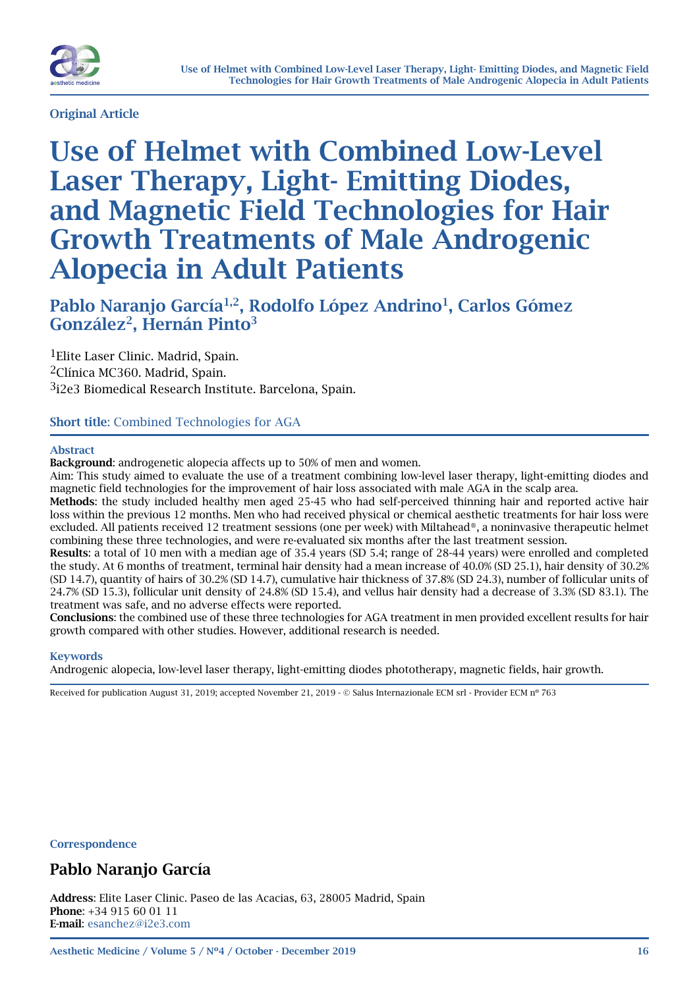

# Original Article

# Use of Helmet with Combined Low-Level Laser Therapy, Light- Emitting Diodes, and Magnetic Field Technologies for Hair Growth Treatments of Male Androgenic Alopecia in Adult Patients

# Pablo Naranjo García<sup>1,2</sup>, Rodolfo López Andrino<sup>1</sup>, Carlos Gómez González<sup>2</sup>, Hernán Pinto<sup>3</sup>

1Elite Laser Clinic. Madrid, Spain. 2Clínica MC360. Madrid, Spain. 3i2e3 Biomedical Research Institute. Barcelona, Spain.

# Short title: Combined Technologies for AGA

#### Abstract

Background: androgenetic alopecia affects up to 50% of men and women.

Aim: This study aimed to evaluate the use of a treatment combining low-level laser therapy, light-emitting diodes and magnetic field technologies for the improvement of hair loss associated with male AGA in the scalp area.

Methods: the study included healthy men aged 25-45 who had self-perceived thinning hair and reported active hair loss within the previous 12 months. Men who had received physical or chemical aesthetic treatments for hair loss were excluded. All patients received 12 treatment sessions (one per week) with Miltahead®, a noninvasive therapeutic helmet combining these three technologies, and were re-evaluated six months after the last treatment session.

Results: a total of 10 men with a median age of 35.4 years (SD 5.4; range of 28-44 years) were enrolled and completed the study. At 6 months of treatment, terminal hair density had a mean increase of 40.0% (SD 25.1), hair density of 30.2% (SD 14.7), quantity of hairs of 30.2% (SD 14.7), cumulative hair thickness of 37.8% (SD 24.3), number of follicular units of 24.7% (SD 15.3), follicular unit density of 24.8% (SD 15.4), and vellus hair density had a decrease of 3.3% (SD 83.1). The treatment was safe, and no adverse effects were reported.

Conclusions: the combined use of these three technologies for AGA treatment in men provided excellent results for hair growth compared with other studies. However, additional research is needed.

# Keywords

Androgenic alopecia, low-level laser therapy, light-emitting diodes phototherapy, magnetic fields, hair growth.

Received for publication August 31, 2019; accepted November 21, 2019 - © Salus Internazionale ECM srl - Provider ECM nº 763

#### **Correspondence**

# Pablo Naranjo García

Address: Elite Laser Clinic. Paseo de las Acacias, 63, 28005 Madrid, Spain Phone: +34 915 60 01 11 E-mail: [esanchez@i2e3.com](mailto:esanchez%40i2e3.com?subject=)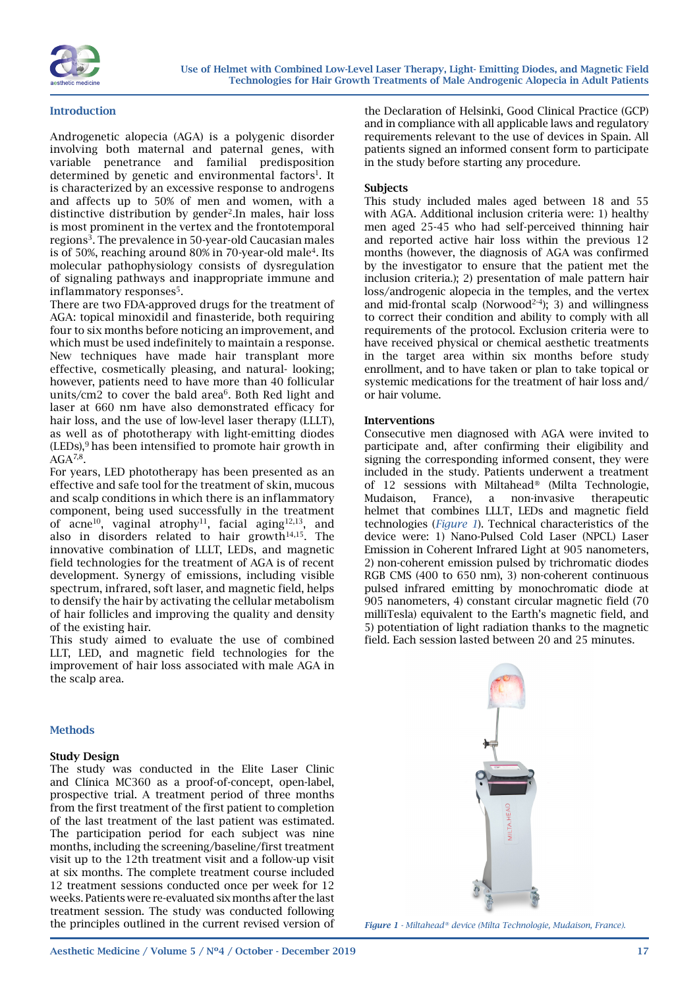

#### Introduction

Androgenetic alopecia (AGA) is a polygenic disorder involving both maternal and paternal genes, with variable penetrance and familial predisposition determined by genetic and environmental factors<sup>1</sup>. It is characterized by an excessive response to androgens and affects up to 50% of men and women, with a distinctive distribution by gender2.In males, hair loss is most prominent in the vertex and the frontotemporal regions3. The prevalence in 50-year-old Caucasian males is of 50%, reaching around 80% in 70-year-old male<sup>4</sup>. Its molecular pathophysiology consists of dysregulation of signaling pathways and inappropriate immune and inflammatory responses<sup>5</sup>.

There are two FDA-approved drugs for the treatment of AGA: topical minoxidil and finasteride, both requiring four to six months before noticing an improvement, and which must be used indefinitely to maintain a response. New techniques have made hair transplant more effective, cosmetically pleasing, and natural- looking; however, patients need to have more than 40 follicular units/cm2 to cover the bald area<sup>6</sup>. Both Red light and laser at 660 nm have also demonstrated efficacy for hair loss, and the use of low-level laser therapy (LLLT), as well as of phototherapy with light-emitting diodes  $(LEDs)$ ,  $9$  has been intensified to promote hair growth in AGA7,8.

For years, LED phototherapy has been presented as an effective and safe tool for the treatment of skin, mucous and scalp conditions in which there is an inflammatory component, being used successfully in the treatment of acne<sup>10</sup>, vaginal atrophy<sup>11</sup>, facial aging<sup>12,13</sup>, and also in disorders related to hair growth $14,15$ . The innovative combination of LLLT, LEDs, and magnetic field technologies for the treatment of AGA is of recent development. Synergy of emissions, including visible spectrum, infrared, soft laser, and magnetic field, helps to densify the hair by activating the cellular metabolism of hair follicles and improving the quality and density of the existing hair.

This study aimed to evaluate the use of combined LLT, LED, and magnetic field technologies for the improvement of hair loss associated with male AGA in the scalp area.

#### Methods

#### Study Design

The study was conducted in the Elite Laser Clinic and Clínica MC360 as a proof-of-concept, open-label, prospective trial. A treatment period of three months from the first treatment of the first patient to completion of the last treatment of the last patient was estimated. The participation period for each subject was nine months, including the screening/baseline/first treatment visit up to the 12th treatment visit and a follow-up visit at six months. The complete treatment course included 12 treatment sessions conducted once per week for 12 weeks. Patients were re-evaluated six months after the last treatment session. The study was conducted following the principles outlined in the current revised version of

the Declaration of Helsinki, Good Clinical Practice (GCP) and in compliance with all applicable laws and regulatory requirements relevant to the use of devices in Spain. All patients signed an informed consent form to participate in the study before starting any procedure.

#### **Subjects**

This study included males aged between 18 and 55 with AGA. Additional inclusion criteria were: 1) healthy men aged 25-45 who had self-perceived thinning hair and reported active hair loss within the previous 12 months (however, the diagnosis of AGA was confirmed by the investigator to ensure that the patient met the inclusion criteria.); 2) presentation of male pattern hair loss/androgenic alopecia in the temples, and the vertex and mid-frontal scalp (Norwood<sup>2-4</sup>); 3) and willingness to correct their condition and ability to comply with all requirements of the protocol. Exclusion criteria were to have received physical or chemical aesthetic treatments in the target area within six months before study enrollment, and to have taken or plan to take topical or systemic medications for the treatment of hair loss and/ or hair volume.

#### Interventions

Consecutive men diagnosed with AGA were invited to participate and, after confirming their eligibility and signing the corresponding informed consent, they were included in the study. Patients underwent a treatment of 12 sessions with Miltahead® (Milta Technologie, Mudaison, France), a non-invasive therapeutic helmet that combines LLLT, LEDs and magnetic field technologies (*Figure 1*). Technical characteristics of the device were: 1) Nano-Pulsed Cold Laser (NPCL) Laser Emission in Coherent Infrared Light at 905 nanometers, 2) non-coherent emission pulsed by trichromatic diodes RGB CMS (400 to 650 nm), 3) non-coherent continuous pulsed infrared emitting by monochromatic diode at 905 nanometers, 4) constant circular magnetic field (70 milliTesla) equivalent to the Earth's magnetic field, and 5) potentiation of light radiation thanks to the magnetic field. Each session lasted between 20 and 25 minutes.



*Figure 1 - Miltahead® device (Milta Technologie, Mudaison, France).*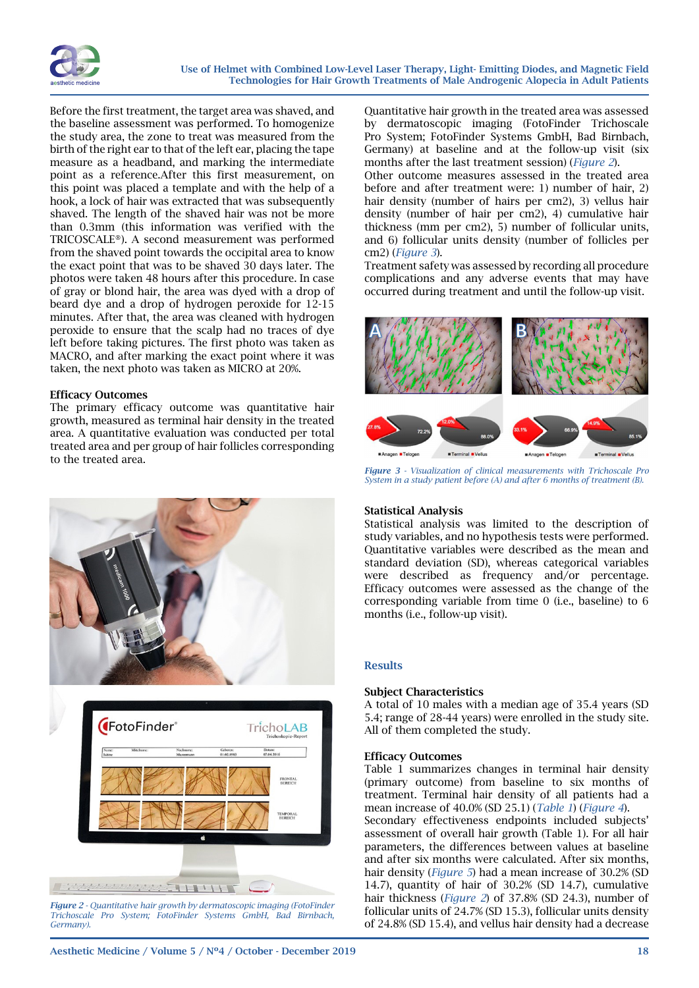

Before the first treatment, the target area was shaved, and the baseline assessment was performed. To homogenize the study area, the zone to treat was measured from the birth of the right ear to that of the left ear, placing the tape measure as a headband, and marking the intermediate point as a reference.After this first measurement, on this point was placed a template and with the help of a hook, a lock of hair was extracted that was subsequently shaved. The length of the shaved hair was not be more than 0.3mm (this information was verified with the TRICOSCALE®). A second measurement was performed from the shaved point towards the occipital area to know the exact point that was to be shaved 30 days later. The photos were taken 48 hours after this procedure. In case of gray or blond hair, the area was dyed with a drop of beard dye and a drop of hydrogen peroxide for 12-15 minutes. After that, the area was cleaned with hydrogen peroxide to ensure that the scalp had no traces of dye left before taking pictures. The first photo was taken as MACRO, and after marking the exact point where it was taken, the next photo was taken as MICRO at 20%.

# Efficacy Outcomes

The primary efficacy outcome was quantitative hair growth, measured as terminal hair density in the treated area. A quantitative evaluation was conducted per total treated area and per group of hair follicles corresponding to the treated area.



*Figure 2 - Quantitative hair growth by dermatoscopic imaging (FotoFinder Trichoscale Pro System; FotoFinder Systems GmbH, Bad Birnbach, Germany).*

Quantitative hair growth in the treated area was assessed by dermatoscopic imaging (FotoFinder Trichoscale Pro System; FotoFinder Systems GmbH, Bad Birnbach, Germany) at baseline and at the follow-up visit (six months after the last treatment session) (*Figure 2*).

Other outcome measures assessed in the treated area before and after treatment were: 1) number of hair, 2) hair density (number of hairs per cm2), 3) vellus hair density (number of hair per cm2), 4) cumulative hair thickness (mm per cm2), 5) number of follicular units, and 6) follicular units density (number of follicles per cm2) (*Figure 3*).

Treatment safety was assessed by recording all procedure complications and any adverse events that may have occurred during treatment and until the follow-up visit.



*Figure 3 - Visualization of clinical measurements with Trichoscale Pro System in a study patient before (A) and after 6 months of treatment (B).*

# Statistical Analysis

Statistical analysis was limited to the description of study variables, and no hypothesis tests were performed. Quantitative variables were described as the mean and standard deviation (SD), whereas categorical variables were described as frequency and/or percentage. Efficacy outcomes were assessed as the change of the corresponding variable from time 0 (i.e., baseline) to 6 months (i.e., follow-up visit).

# Results

#### Subject Characteristics

A total of 10 males with a median age of 35.4 years (SD 5.4; range of 28-44 years) were enrolled in the study site. All of them completed the study.

#### Efficacy Outcomes

Table 1 summarizes changes in terminal hair density (primary outcome) from baseline to six months of treatment. Terminal hair density of all patients had a mean increase of 40.0% (SD 25.1) (*Table 1*) (*Figure 4*).

Secondary effectiveness endpoints included subjects' assessment of overall hair growth (Table 1). For all hair parameters, the differences between values at baseline and after six months were calculated. After six months, hair density (*Figure 5*) had a mean increase of 30.2% (SD 14.7), quantity of hair of 30.2% (SD 14.7), cumulative hair thickness (*Figure 2*) of 37.8% (SD 24.3), number of follicular units of 24.7% (SD 15.3), follicular units density of 24.8% (SD 15.4), and vellus hair density had a decrease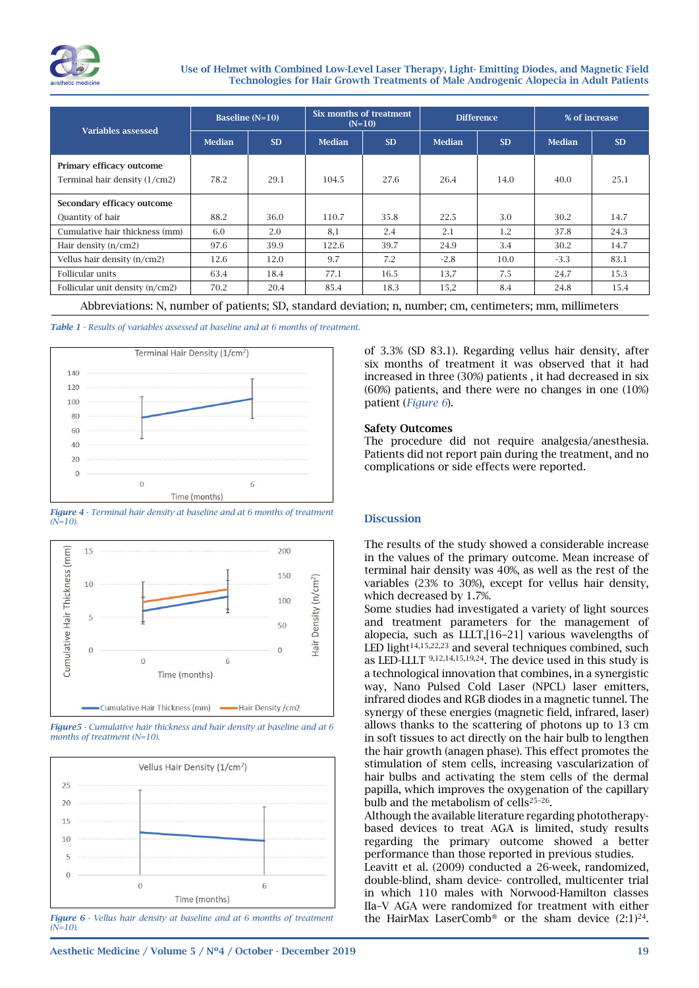

Use of Helmet with Combined Low-Level Laser Therapy, Light- Emitting Diodes, and Magnetic Field Technologies for Hair Growth Treatments of Male Androgenic Alopecia in Adult Patients

| <b>Variables assessed</b>                                   | Baseline $(N=10)$ |           | Six months of treatment<br>$(N=10)$ |           | <b>Difference</b> |           | % of increase |           |
|-------------------------------------------------------------|-------------------|-----------|-------------------------------------|-----------|-------------------|-----------|---------------|-----------|
|                                                             | <b>Median</b>     | <b>SD</b> | <b>Median</b>                       | <b>SD</b> | <b>Median</b>     | <b>SD</b> | <b>Median</b> | <b>SD</b> |
| Primary efficacy outcome<br>Terminal hair density $(1/cm2)$ | 78.2              | 29.1      | 104.5                               | 27.6      | 26.4              | 14.0      | 40.0          | 25.1      |
| Secondary efficacy outcome                                  |                   |           |                                     |           |                   |           |               |           |
| Quantity of hair                                            | 88.2              | 36.0      | 110.7                               | 35.8      | 22.5              | 3.0       | 30.2          | 14.7      |
| Cumulative hair thickness (mm)                              | 6.0               | 2.0       | 8,1                                 | 2.4       | 2.1               | 1.2       | 37.8          | 24.3      |
| Hair density $(n/cm2)$                                      | 97.6              | 39.9      | 122.6                               | 39.7      | 24.9              | 3.4       | 30.2          | 14.7      |
| Vellus hair density (n/cm2)                                 | 12.6              | 12.0      | 9.7                                 | 7.2       | $-2.8$            | 10.0      | $-3.3$        | 83.1      |
| Follicular units                                            | 63.4              | 18.4      | 77.1                                | 16.5      | 13,7              | 7.5       | 24.7          | 15.3      |
| Follicular unit density (n/cm2)                             | 70.2              | 20.4      | 85.4                                | 18.3      | 15,2              | 8.4       | 24.8          | 15.4      |

Abbreviations: N, number of patients; SD, standard deviation; n, number; cm, centimeters; mm, millimeters

*Table 1 - Results of variables assessed at baseline and at 6 months of treatment.*



*Figure 4 - Terminal hair density at baseline and at 6 months of treatment (N=10).*







*Figure 6 - Vellus hair density at baseline and at 6 months of treatment*   $(N=10)$ 

of 3.3% (SD 83.1). Regarding vellus hair density, after six months of treatment it was observed that it had increased in three (30%) patients , it had decreased in six (60%) patients, and there were no changes in one (10%) patient (*Figure 6*).

#### Safety Outcomes

The procedure did not require analgesia/anesthesia. Patients did not report pain during the treatment, and no complications or side effects were reported.

#### Discussion

The results of the study showed a considerable increase in the values of the primary outcome. Mean increase of terminal hair density was 40%, as well as the rest of the variables (23% to 30%), except for vellus hair density, which decreased by 1.7%.

Some studies had investigated a variety of light sources and treatment parameters for the management of alopecia, such as LLLT,[16–21] various wavelengths of LED light<sup>14,15,22,23</sup> and several techniques combined, such as LED-LLLT 9,12,14,15,19,24. The device used in this study is a technological innovation that combines, in a synergistic way, Nano Pulsed Cold Laser (NPCL) laser emitters, infrared diodes and RGB diodes in a magnetic tunnel. The synergy of these energies (magnetic field, infrared, laser) allows thanks to the scattering of photons up to 13 cm in soft tissues to act directly on the hair bulb to lengthen the hair growth (anagen phase). This effect promotes the stimulation of stem cells, increasing vascularization of hair bulbs and activating the stem cells of the dermal papilla, which improves the oxygenation of the capillary bulb and the metabolism of cells<sup>25-26</sup>.

Although the available literature regarding phototherapybased devices to treat AGA is limited, study results regarding the primary outcome showed a better performance than those reported in previous studies. Leavitt et al. (2009) conducted a 26-week, randomized,

double-blind, sham device- controlled, multicenter trial in which 110 males with Norwood-Hamilton classes IIa–V AGA were randomized for treatment with either the HairMax LaserComb<sup>®</sup> or the sham device  $(2:1)^{24}$ .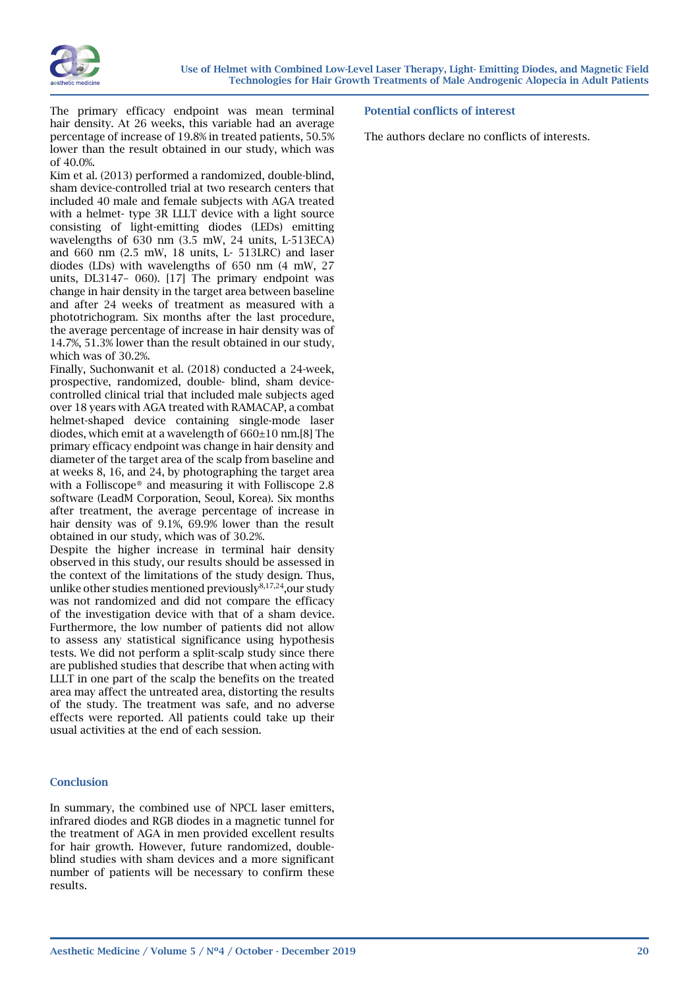

The primary efficacy endpoint was mean terminal hair density. At 26 weeks, this variable had an average percentage of increase of 19.8% in treated patients, 50.5% lower than the result obtained in our study, which was of 40.0%.

Kim et al. (2013) performed a randomized, double-blind, sham device-controlled trial at two research centers that included 40 male and female subjects with AGA treated with a helmet- type 3R LLLT device with a light source consisting of light-emitting diodes (LEDs) emitting wavelengths of 630 nm (3.5 mW, 24 units, L-513ECA) and 660 nm (2.5 mW, 18 units, L- 513LRC) and laser diodes (LDs) with wavelengths of 650 nm (4 mW, 27 units, DL3147– 060). [17] The primary endpoint was change in hair density in the target area between baseline and after 24 weeks of treatment as measured with a phototrichogram. Six months after the last procedure, the average percentage of increase in hair density was of 14.7%, 51.3% lower than the result obtained in our study, which was of 30.2%.

Finally, Suchonwanit et al. (2018) conducted a 24-week, prospective, randomized, double- blind, sham devicecontrolled clinical trial that included male subjects aged over 18 years with AGA treated with RAMACAP, a combat helmet-shaped device containing single-mode laser diodes, which emit at a wavelength of 660±10 nm.[8] The primary efficacy endpoint was change in hair density and diameter of the target area of the scalp from baseline and at weeks 8, 16, and 24, by photographing the target area with a Folliscope® and measuring it with Folliscope 2.8 software (LeadM Corporation, Seoul, Korea). Six months after treatment, the average percentage of increase in hair density was of 9.1%, 69.9% lower than the result obtained in our study, which was of 30.2%.

Despite the higher increase in terminal hair density observed in this study, our results should be assessed in the context of the limitations of the study design. Thus, unlike other studies mentioned previously  $^{8,17,24}$ , our study was not randomized and did not compare the efficacy of the investigation device with that of a sham device. Furthermore, the low number of patients did not allow to assess any statistical significance using hypothesis tests. We did not perform a split-scalp study since there are published studies that describe that when acting with LLLT in one part of the scalp the benefits on the treated area may affect the untreated area, distorting the results of the study. The treatment was safe, and no adverse effects were reported. All patients could take up their usual activities at the end of each session.

# Conclusion

In summary, the combined use of NPCL laser emitters, infrared diodes and RGB diodes in a magnetic tunnel for the treatment of AGA in men provided excellent results for hair growth. However, future randomized, doubleblind studies with sham devices and a more significant number of patients will be necessary to confirm these results.

Potential conflicts of interest

The authors declare no conflicts of interests.